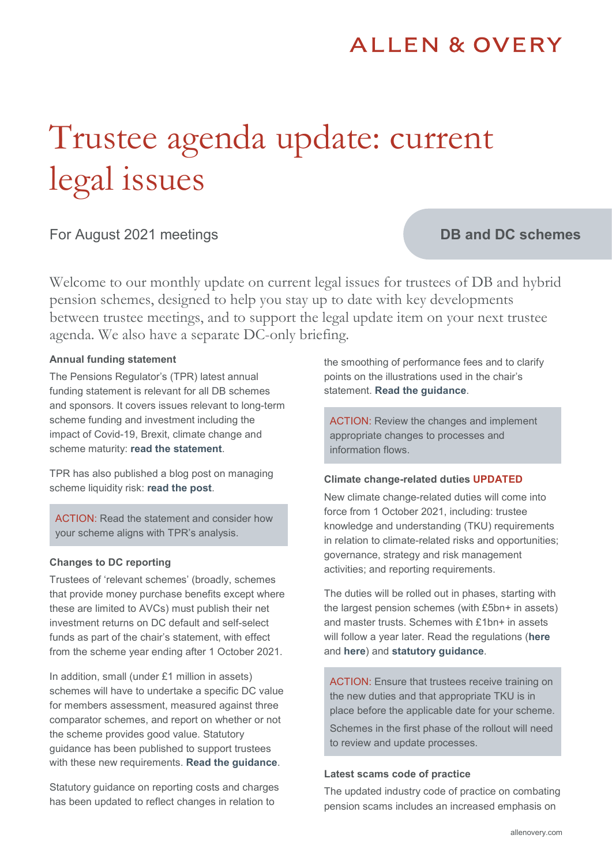# **ALLEN & OVERY**

# Trustee agenda update: current legal issues

# For August 2021 meetings

# **DB and DC schemes**

Welcome to our monthly update on current legal issues for trustees of DB and hybrid pension schemes, designed to help you stay up to date with key developments between trustee meetings, and to support the legal update item on your next trustee agenda. We also have a separate DC-only briefing.

#### **Annual funding statement**

The Pensions Regulator's (TPR) latest annual funding statement is relevant for all DB schemes and sponsors. It covers issues relevant to long-term scheme funding and investment including the impact of Covid-19, Brexit, climate change and scheme maturity: **[read the statement](https://www.thepensionsregulator.gov.uk/en/document-library/statements/annual-funding-statement-2021)**.

TPR has also published a blog post on managing scheme liquidity risk: **[read the post](https://blog.thepensionsregulator.gov.uk/2021/05/28/now-is-the-time-to-manage-liquidity-risk/)**.

ACTION: Read the statement and consider how your scheme aligns with TPR's analysis.

#### **Changes to DC reporting**

Trustees of 'relevant schemes' (broadly, schemes that provide money purchase benefits except where these are limited to AVCs) must publish their net investment returns on DC default and self-select funds as part of the chair's statement, with effect from the scheme year ending after 1 October 2021.

In addition, small (under £1 million in assets) schemes will have to undertake a specific DC value for members assessment, measured against three comparator schemes, and report on whether or not the scheme provides good value. Statutory guidance has been published to support trustees with these new requirements. **[Read the guidance](https://www.gov.uk/government/publications/completing-the-annual-value-for-members-assessment-and-reporting-of-net-investment-returns/completing-the-annual-value-for-members-assessment-and-reporting-of-net-investment-returns)**.

Statutory guidance on reporting costs and charges has been updated to reflect changes in relation to

the smoothing of performance fees and to clarify points on the illustrations used in the chair's statement. **[Read the guidance](https://assets.publishing.service.gov.uk/government/uploads/system/uploads/attachment_data/file/994605/reporting-of-costs-charges-and-other-information-guidance-for-trustees-and-managers-october-2021.pdf)**.

ACTION: Review the changes and implement appropriate changes to processes and information flows.

#### **Climate change-related duties UPDATED**

New climate change-related duties will come into force from 1 October 2021, including: trustee knowledge and understanding (TKU) requirements in relation to climate-related risks and opportunities; governance, strategy and risk management activities; and reporting requirements.

The duties will be rolled out in phases, starting with the largest pension schemes (with £5bn+ in assets) and master trusts. Schemes with £1bn+ in assets will follow a year later. Read the regulations (**[here](https://www.legislation.gov.uk/uksi/2021/839/contents/made)** and **[here](https://www.legislation.gov.uk/uksi/2021/857/contents/made)**) and **[statutory guidance](https://www.gov.uk/government/publications/governance-and-reporting-of-climate-change-risk-guidance-for-trustees-of-occupational-schemes)**.

ACTION: Ensure that trustees receive training on the new duties and that appropriate TKU is in place before the applicable date for your scheme. Schemes in the first phase of the rollout will need to review and update processes.

#### **Latest scams code of practice**

The updated industry code of practice on combating pension scams includes an increased emphasis on